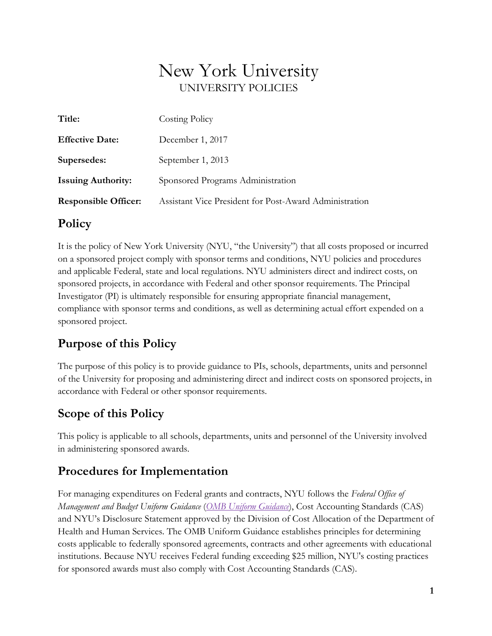# New York University UNIVERSITY POLICIES

| Title:                      | Costing Policy                                         |
|-----------------------------|--------------------------------------------------------|
| <b>Effective Date:</b>      | December 1, 2017                                       |
| Supersedes:                 | September 1, 2013                                      |
| <b>Issuing Authority:</b>   | Sponsored Programs Administration                      |
| <b>Responsible Officer:</b> | Assistant Vice President for Post-Award Administration |

## **Policy**

It is the policy of New York University (NYU, "the University") that all costs proposed or incurred on a sponsored project comply with sponsor terms and conditions, NYU policies and procedures and applicable Federal, state and local regulations. NYU administers direct and indirect costs, on sponsored projects, in accordance with Federal and other sponsor requirements. The Principal Investigator (PI) is ultimately responsible for ensuring appropriate financial management, compliance with sponsor terms and conditions, as well as determining actual effort expended on a sponsored project.

## **Purpose of this Policy**

The purpose of this policy is to provide guidance to PIs, schools, departments, units and personnel of the University for proposing and administering direct and indirect costs on sponsored projects, in accordance with Federal or other sponsor requirements.

## **Scope of this Policy**

This policy is applicable to all schools, departments, units and personnel of the University involved in administering sponsored awards.

## **Procedures for Implementation**

For managing expenditures on Federal grants and contracts, NYU follows the *Federal Office of Management and Budget Uniform Guidance* (*[OMB Uniform Guidance](http://www.ecfr.gov/cgi-bin/text-idx?tpl=/ecfrbrowse/Title02/2cfr200_main_02.tpl)*), Cost Accounting Standards (CAS) and NYU's Disclosure Statement approved by the Division of Cost Allocation of the Department of Health and Human Services. The OMB Uniform Guidance establishes principles for determining costs applicable to federally sponsored agreements, contracts and other agreements with educational institutions. Because NYU receives Federal funding exceeding \$25 million, NYU's costing practices for sponsored awards must also comply with Cost Accounting Standards (CAS).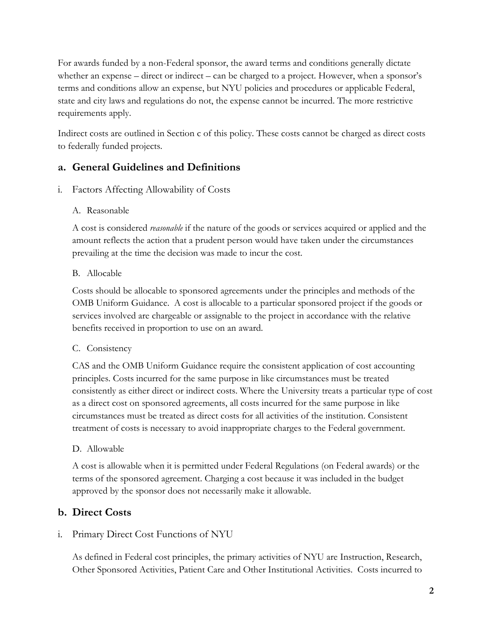For awards funded by a non-Federal sponsor, the award terms and conditions generally dictate whether an expense – direct or indirect – can be charged to a project. However, when a sponsor's terms and conditions allow an expense, but NYU policies and procedures or applicable Federal, state and city laws and regulations do not, the expense cannot be incurred. The more restrictive requirements apply.

Indirect costs are outlined in Section c of this policy. These costs cannot be charged as direct costs to federally funded projects.

## **a. General Guidelines and Definitions**

- i. Factors Affecting Allowability of Costs
	- A. Reasonable

A cost is considered *reasonable* if the nature of the goods or services acquired or applied and the amount reflects the action that a prudent person would have taken under the circumstances prevailing at the time the decision was made to incur the cost.

### B. Allocable

Costs should be allocable to sponsored agreements under the principles and methods of the OMB Uniform Guidance. A cost is allocable to a particular sponsored project if the goods or services involved are chargeable or assignable to the project in accordance with the relative benefits received in proportion to use on an award.

## C. Consistency

CAS and the OMB Uniform Guidance require the consistent application of cost accounting principles. Costs incurred for the same purpose in like circumstances must be treated consistently as either direct or indirect costs. Where the University treats a particular type of cost as a direct cost on sponsored agreements, all costs incurred for the same purpose in like circumstances must be treated as direct costs for all activities of the institution. Consistent treatment of costs is necessary to avoid inappropriate charges to the Federal government.

## D. Allowable

A cost is allowable when it is permitted under Federal Regulations (on Federal awards) or the terms of the sponsored agreement. Charging a cost because it was included in the budget approved by the sponsor does not necessarily make it allowable.

## **b. Direct Costs**

i. Primary Direct Cost Functions of NYU

As defined in Federal cost principles, the primary activities of NYU are Instruction, Research, Other Sponsored Activities, Patient Care and Other Institutional Activities. Costs incurred to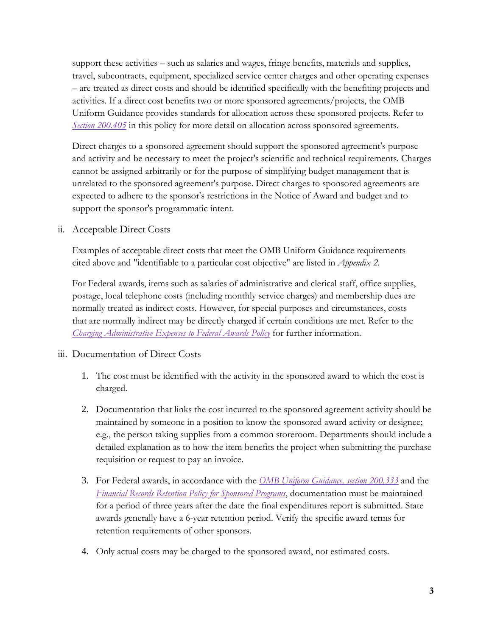support these activities – such as salaries and wages, fringe benefits, materials and supplies, travel, subcontracts, equipment, specialized service center charges and other operating expenses – are treated as direct costs and should be identified specifically with the benefiting projects and activities. If a direct cost benefits two or more sponsored agreements/projects, the OMB Uniform Guidance provides standards for allocation across these sponsored projects. Refer to *[Section 200.405](https://www.ecfr.gov/cgi-bin/text-idx?SID=8c3f7c2636e23c71d72c1511dd336f5c&mc=true&node=se2.1.200_1405)* in this policy for more detail on allocation across sponsored agreements.

Direct charges to a sponsored agreement should support the sponsored agreement's purpose and activity and be necessary to meet the project's scientific and technical requirements. Charges cannot be assigned arbitrarily or for the purpose of simplifying budget management that is unrelated to the sponsored agreement's purpose. Direct charges to sponsored agreements are expected to adhere to the sponsor's restrictions in the Notice of Award and budget and to support the sponsor's programmatic intent.

ii. Acceptable Direct Costs

Examples of acceptable direct costs that meet the OMB Uniform Guidance requirements cited above and "identifiable to a particular cost objective" are listed in *Appendix 2*.

For Federal awards, items such as salaries of administrative and clerical staff, office supplies, postage, local telephone costs (including monthly service charges) and membership dues are normally treated as indirect costs. However, for special purposes and circumstances, costs that are normally indirect may be directly charged if certain conditions are met. Refer to the *[Charging Administrative Expenses to Federal Awards Policy](http://www.nyu.edu/about/policies-guidelines-compliance/policies-and-guidelines/charging-administrative-expenses-to-federal-awards-policy.html)* for further information.

- iii. Documentation of Direct Costs
	- 1. The cost must be identified with the activity in the sponsored award to which the cost is charged.
	- 2. Documentation that links the cost incurred to the sponsored agreement activity should be maintained by someone in a position to know the sponsored award activity or designee; e.g., the person taking supplies from a common storeroom. Departments should include a detailed explanation as to how the item benefits the project when submitting the purchase requisition or request to pay an invoice.
	- 3. For Federal awards, in accordance with the *[OMB Uniform Guidance, section 200.333](https://www.ecfr.gov/cgi-bin/text-idx?SID=7ef6e1f426bd21dbe458e40256681c1c&mc=true&node=se2.1.200_1333&rgn=div8)* and the *[Financial Records Retention Policy for Sponsored Programs](http://www.nyu.edu/about/policies-guidelines-compliance/policies-and-guidelines/financial-records-retention-policy-for-sponsored-programs.html)*, documentation must be maintained for a period of three years after the date the final expenditures report is submitted. State awards generally have a 6-year retention period. Verify the specific award terms for retention requirements of other sponsors.
	- 4. Only actual costs may be charged to the sponsored award, not estimated costs.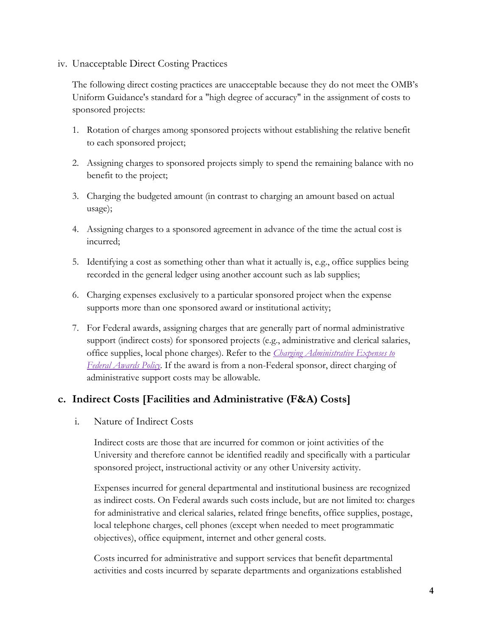#### iv. Unacceptable Direct Costing Practices

The following direct costing practices are unacceptable because they do not meet the OMB's Uniform Guidance's standard for a "high degree of accuracy" in the assignment of costs to sponsored projects:

- 1. Rotation of charges among sponsored projects without establishing the relative benefit to each sponsored project;
- 2. Assigning charges to sponsored projects simply to spend the remaining balance with no benefit to the project;
- 3. Charging the budgeted amount (in contrast to charging an amount based on actual usage);
- 4. Assigning charges to a sponsored agreement in advance of the time the actual cost is incurred;
- 5. Identifying a cost as something other than what it actually is, e.g., office supplies being recorded in the general ledger using another account such as lab supplies;
- 6. Charging expenses exclusively to a particular sponsored project when the expense supports more than one sponsored award or institutional activity;
- 7. For Federal awards, assigning charges that are generally part of normal administrative support (indirect costs) for sponsored projects (e.g., administrative and clerical salaries, office supplies, local phone charges). Refer to the *[Charging Administrative Expenses to](http://www.nyu.edu/about/policies-guidelines-compliance/policies-and-guidelines/charging-administrative-expenses-to-federal-awards-policy.html)  [Federal Awards Policy](http://www.nyu.edu/about/policies-guidelines-compliance/policies-and-guidelines/charging-administrative-expenses-to-federal-awards-policy.html)*. If the award is from a non-Federal sponsor, direct charging of administrative support costs may be allowable.

## **c. Indirect Costs [Facilities and Administrative (F&A) Costs]**

i. Nature of Indirect Costs

Indirect costs are those that are incurred for common or joint activities of the University and therefore cannot be identified readily and specifically with a particular sponsored project, instructional activity or any other University activity.

Expenses incurred for general departmental and institutional business are recognized as indirect costs. On Federal awards such costs include, but are not limited to: charges for administrative and clerical salaries, related fringe benefits, office supplies, postage, local telephone charges, cell phones (except when needed to meet programmatic objectives), office equipment, internet and other general costs.

Costs incurred for administrative and support services that benefit departmental activities and costs incurred by separate departments and organizations established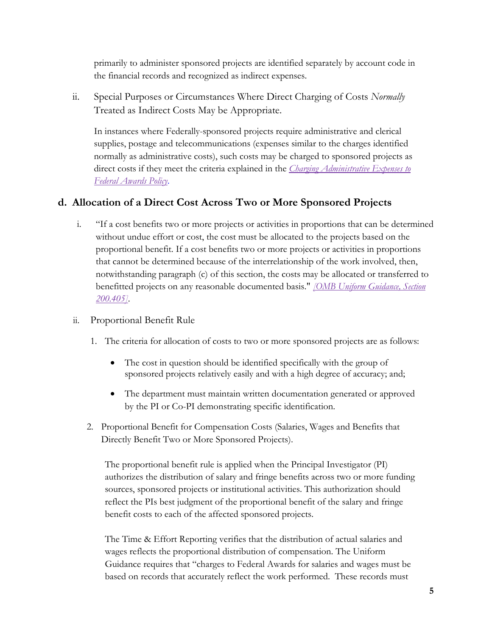primarily to administer sponsored projects are identified separately by account code in the financial records and recognized as indirect expenses.

ii. Special Purposes or Circumstances Where Direct Charging of Costs *Normally* Treated as Indirect Costs May be Appropriate.

In instances where Federally-sponsored projects require administrative and clerical supplies, postage and telecommunications (expenses similar to the charges identified normally as administrative costs), such costs may be charged to sponsored projects as direct costs if they meet the criteria explained in the *[Charging Administrative Expenses to](http://www.nyu.edu/about/policies-guidelines-compliance/policies-and-guidelines/charging-administrative-expenses-to-federal-awards-policy.html)  [Federal Awards Policy](http://www.nyu.edu/about/policies-guidelines-compliance/policies-and-guidelines/charging-administrative-expenses-to-federal-awards-policy.html)*.

## **d. Allocation of a Direct Cost Across Two or More Sponsored Projects**

- i. "If a cost benefits two or more projects or activities in proportions that can be determined without undue effort or cost, the cost must be allocated to the projects based on the proportional benefit. If a cost benefits two or more projects or activities in proportions that cannot be determined because of the interrelationship of the work involved, then, notwithstanding paragraph (c) of this section, the costs may be allocated or transferred to benefitted projects on any reasonable documented basis." *[\[OMB Uniform Guidance, Section](https://www.ecfr.gov/cgi-bin/text-idx?SID=7ef6e1f426bd21dbe458e40256681c1c&mc=true&node=se2.1.200_1405&rgn=div8)  [200.405\]](https://www.ecfr.gov/cgi-bin/text-idx?SID=7ef6e1f426bd21dbe458e40256681c1c&mc=true&node=se2.1.200_1405&rgn=div8)*.
- ii. Proportional Benefit Rule
	- 1. The criteria for allocation of costs to two or more sponsored projects are as follows:
		- The cost in question should be identified specifically with the group of sponsored projects relatively easily and with a high degree of accuracy; and;
		- The department must maintain written documentation generated or approved by the PI or Co-PI demonstrating specific identification.
	- 2. Proportional Benefit for Compensation Costs (Salaries, Wages and Benefits that Directly Benefit Two or More Sponsored Projects).

The proportional benefit rule is applied when the Principal Investigator (PI) authorizes the distribution of salary and fringe benefits across two or more funding sources, sponsored projects or institutional activities. This authorization should reflect the PIs best judgment of the proportional benefit of the salary and fringe benefit costs to each of the affected sponsored projects.

The Time & Effort Reporting verifies that the distribution of actual salaries and wages reflects the proportional distribution of compensation. The Uniform Guidance requires that "charges to Federal Awards for salaries and wages must be based on records that accurately reflect the work performed. These records must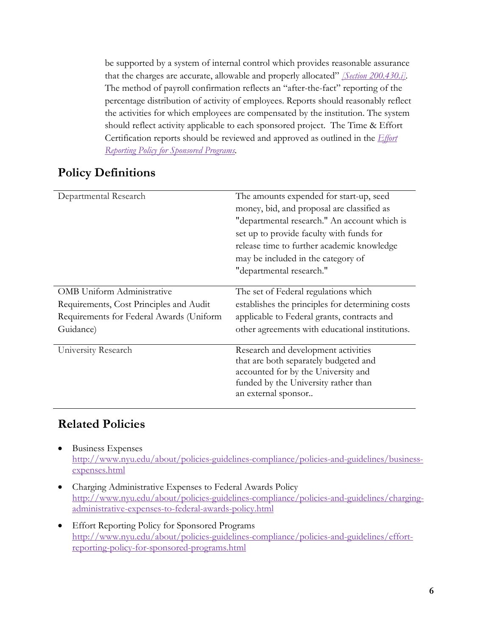be supported by a system of internal control which provides reasonable assurance that the charges are accurate, allowable and properly allocated" *[\[Section 200.430.i\].](https://www.ecfr.gov/cgi-bin/text-idx?SID=7ef6e1f426bd21dbe458e40256681c1c&mc=true&node=se2.1.200_1430&rgn=div8)* The method of payroll confirmation reflects an "after-the-fact" reporting of the percentage distribution of activity of employees. Reports should reasonably reflect the activities for which employees are compensated by the institution. The system should reflect activity applicable to each sponsored project. The Time & Effort Certification reports should be reviewed and approved as outlined in the *[Effort](http://www.nyu.edu/about/policies-guidelines-compliance/policies-and-guidelines/effort-reporting-policy-for-sponsored-programs.html)  [Reporting Policy for Sponsored Programs.](http://www.nyu.edu/about/policies-guidelines-compliance/policies-and-guidelines/effort-reporting-policy-for-sponsored-programs.html)*

## **Policy Definitions**

| Departmental Research                    | The amounts expended for start-up, seed          |  |
|------------------------------------------|--------------------------------------------------|--|
|                                          | money, bid, and proposal are classified as       |  |
|                                          | "departmental research." An account which is     |  |
|                                          | set up to provide faculty with funds for         |  |
|                                          | release time to further academic knowledge       |  |
|                                          | may be included in the category of               |  |
|                                          | "departmental research."                         |  |
|                                          |                                                  |  |
| <b>OMB</b> Uniform Administrative        | The set of Federal regulations which             |  |
| Requirements, Cost Principles and Audit  | establishes the principles for determining costs |  |
| Requirements for Federal Awards (Uniform | applicable to Federal grants, contracts and      |  |
| Guidance)                                | other agreements with educational institutions.  |  |
|                                          |                                                  |  |
| University Research                      | Research and development activities              |  |
|                                          | that are both separately budgeted and            |  |
|                                          | accounted for by the University and              |  |
|                                          | funded by the University rather than             |  |
|                                          | an external sponsor                              |  |
|                                          |                                                  |  |

## **Related Policies**

- Business Expenses [http://www.nyu.edu/about/policies-guidelines-compliance/policies-and-guidelines/business](http://www.nyu.edu/about/policies-guidelines-compliance/policies-and-guidelines/business-expenses.html)[expenses.html](http://www.nyu.edu/about/policies-guidelines-compliance/policies-and-guidelines/business-expenses.html)
- Charging Administrative Expenses to Federal Awards Policy [http://www.nyu.edu/about/policies-guidelines-compliance/policies-and-guidelines/charging](http://www.nyu.edu/about/policies-guidelines-compliance/policies-and-guidelines/charging-administrative-expenses-to-federal-awards-policy.html)[administrative-expenses-to-federal-awards-policy.html](http://www.nyu.edu/about/policies-guidelines-compliance/policies-and-guidelines/charging-administrative-expenses-to-federal-awards-policy.html)
- Effort Reporting Policy for Sponsored Programs [http://www.nyu.edu/about/policies-guidelines-compliance/policies-and-guidelines/effort](http://www.nyu.edu/about/policies-guidelines-compliance/policies-and-guidelines/effort-reporting-policy-for-sponsored-programs.html)[reporting-policy-for-sponsored-programs.html](http://www.nyu.edu/about/policies-guidelines-compliance/policies-and-guidelines/effort-reporting-policy-for-sponsored-programs.html)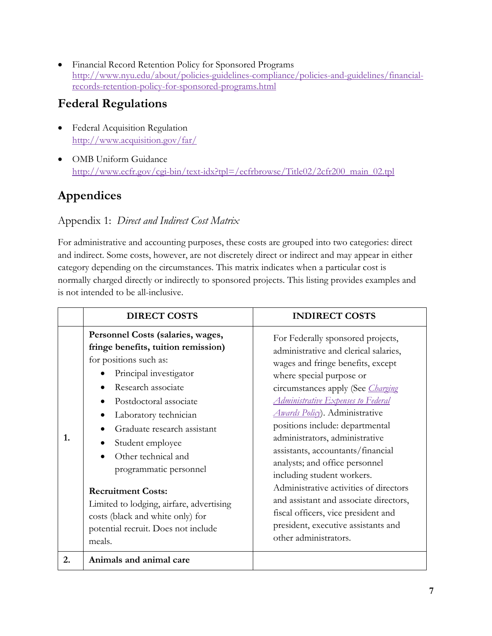• Financial Record Retention Policy for Sponsored Programs [http://www.nyu.edu/about/policies-guidelines-compliance/policies-and-guidelines/financial](http://www.nyu.edu/about/policies-guidelines-compliance/policies-and-guidelines/financial-records-retention-policy-for-sponsored-programs.html)[records-retention-policy-for-sponsored-programs.html](http://www.nyu.edu/about/policies-guidelines-compliance/policies-and-guidelines/financial-records-retention-policy-for-sponsored-programs.html)

## **Federal Regulations**

- Federal Acquisition Regulation <http://www.acquisition.gov/far/>
- OMB Uniform Guidance [http://www.ecfr.gov/cgi-bin/text-idx?tpl=/ecfrbrowse/Title02/2cfr200\\_main\\_02.tpl](http://www.ecfr.gov/cgi-bin/text-idx?tpl=/ecfrbrowse/Title02/2cfr200_main_02.tpl)

## **Appendices**

## Appendix 1: *Direct and Indirect Cost Matrix*

For administrative and accounting purposes, these costs are grouped into two categories: direct and indirect. Some costs, however, are not discretely direct or indirect and may appear in either category depending on the circumstances. This matrix indicates when a particular cost is normally charged directly or indirectly to sponsored projects. This listing provides examples and is not intended to be all-inclusive.

|    | <b>DIRECT COSTS</b>                                                                                                                                                                                                                                                                                                                                                                                                                                                                                            | <b>INDIRECT COSTS</b>                                                                                                                                                                                                                                                                                                                                                                                                                                                                                                                                                                                                                        |
|----|----------------------------------------------------------------------------------------------------------------------------------------------------------------------------------------------------------------------------------------------------------------------------------------------------------------------------------------------------------------------------------------------------------------------------------------------------------------------------------------------------------------|----------------------------------------------------------------------------------------------------------------------------------------------------------------------------------------------------------------------------------------------------------------------------------------------------------------------------------------------------------------------------------------------------------------------------------------------------------------------------------------------------------------------------------------------------------------------------------------------------------------------------------------------|
| 1. | Personnel Costs (salaries, wages,<br>fringe benefits, tuition remission)<br>for positions such as:<br>Principal investigator<br>Research associate<br>$\bullet$<br>Postdoctoral associate<br>$\bullet$<br>Laboratory technician<br>$\bullet$<br>Graduate research assistant<br>Student employee<br>Other technical and<br>programmatic personnel<br><b>Recruitment Costs:</b><br>Limited to lodging, airfare, advertising<br>costs (black and white only) for<br>potential recruit. Does not include<br>meals. | For Federally sponsored projects,<br>administrative and clerical salaries,<br>wages and fringe benefits, except<br>where special purpose or<br>circumstances apply (See <i>Charging</i><br>Administrative Expenses to Federal<br><b>Awards Policy</b> ). Administrative<br>positions include: departmental<br>administrators, administrative<br>assistants, accountants/financial<br>analysts; and office personnel<br>including student workers.<br>Administrative activities of directors<br>and assistant and associate directors,<br>fiscal officers, vice president and<br>president, executive assistants and<br>other administrators. |
| 2. | Animals and animal care                                                                                                                                                                                                                                                                                                                                                                                                                                                                                        |                                                                                                                                                                                                                                                                                                                                                                                                                                                                                                                                                                                                                                              |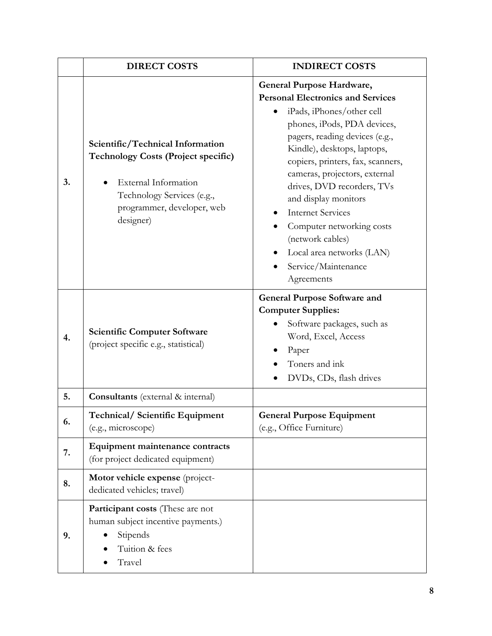|    | <b>DIRECT COSTS</b>                                                                                                                                                             | <b>INDIRECT COSTS</b>                                                                                                                                                                                                                                                                                                                                                                                                                                                         |
|----|---------------------------------------------------------------------------------------------------------------------------------------------------------------------------------|-------------------------------------------------------------------------------------------------------------------------------------------------------------------------------------------------------------------------------------------------------------------------------------------------------------------------------------------------------------------------------------------------------------------------------------------------------------------------------|
| 3. | Scientific/Technical Information<br><b>Technology Costs (Project specific)</b><br>External Information<br>Technology Services (e.g.,<br>programmer, developer, web<br>designer) | General Purpose Hardware,<br><b>Personal Electronics and Services</b><br>iPads, iPhones/other cell<br>phones, iPods, PDA devices,<br>pagers, reading devices (e.g.,<br>Kindle), desktops, laptops,<br>copiers, printers, fax, scanners,<br>cameras, projectors, external<br>drives, DVD recorders, TVs<br>and display monitors<br><b>Internet Services</b><br>Computer networking costs<br>(network cables)<br>Local area networks (LAN)<br>Service/Maintenance<br>Agreements |
| 4. | <b>Scientific Computer Software</b><br>(project specific e.g., statistical)                                                                                                     | <b>General Purpose Software and</b><br><b>Computer Supplies:</b><br>Software packages, such as<br>Word, Excel, Access<br>Paper<br>Toners and ink<br>DVDs, CDs, flash drives                                                                                                                                                                                                                                                                                                   |
| 5. | Consultants (external & internal)                                                                                                                                               |                                                                                                                                                                                                                                                                                                                                                                                                                                                                               |
| 6. | <b>Technical/Scientific Equipment</b><br>(e.g., microscope)                                                                                                                     | <b>General Purpose Equipment</b><br>(e.g., Office Furniture)                                                                                                                                                                                                                                                                                                                                                                                                                  |
| 7. | Equipment maintenance contracts<br>(for project dedicated equipment)                                                                                                            |                                                                                                                                                                                                                                                                                                                                                                                                                                                                               |
| 8. | Motor vehicle expense (project-<br>dedicated vehicles; travel)                                                                                                                  |                                                                                                                                                                                                                                                                                                                                                                                                                                                                               |
| 9. | Participant costs (These are not<br>human subject incentive payments.)<br>Stipends<br>Tuition & fees<br>Travel                                                                  |                                                                                                                                                                                                                                                                                                                                                                                                                                                                               |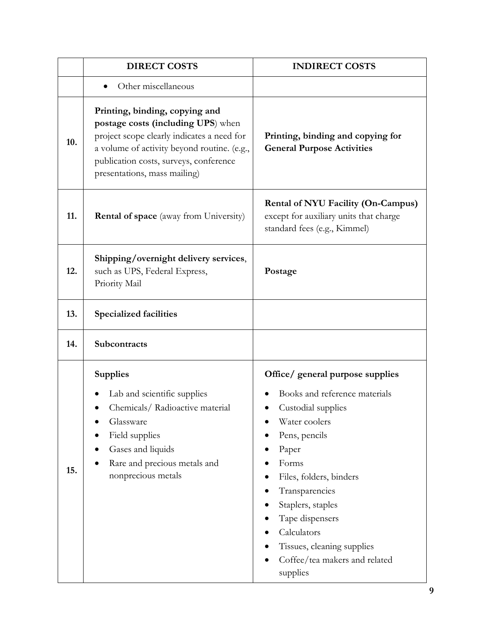|     | <b>DIRECT COSTS</b>                                                                                                                                                                                                                         | <b>INDIRECT COSTS</b>                                                                                                                                                                                                                                                                                                      |
|-----|---------------------------------------------------------------------------------------------------------------------------------------------------------------------------------------------------------------------------------------------|----------------------------------------------------------------------------------------------------------------------------------------------------------------------------------------------------------------------------------------------------------------------------------------------------------------------------|
|     | Other miscellaneous                                                                                                                                                                                                                         |                                                                                                                                                                                                                                                                                                                            |
| 10. | Printing, binding, copying and<br>postage costs (including UPS) when<br>project scope clearly indicates a need for<br>a volume of activity beyond routine. (e.g.,<br>publication costs, surveys, conference<br>presentations, mass mailing) | Printing, binding and copying for<br><b>General Purpose Activities</b>                                                                                                                                                                                                                                                     |
| 11. | <b>Rental of space</b> (away from University)                                                                                                                                                                                               | <b>Rental of NYU Facility (On-Campus)</b><br>except for auxiliary units that charge<br>standard fees (e.g., Kimmel)                                                                                                                                                                                                        |
| 12. | Shipping/overnight delivery services,<br>such as UPS, Federal Express,<br>Priority Mail                                                                                                                                                     | Postage                                                                                                                                                                                                                                                                                                                    |
| 13. | <b>Specialized facilities</b>                                                                                                                                                                                                               |                                                                                                                                                                                                                                                                                                                            |
| 14. | Subcontracts                                                                                                                                                                                                                                |                                                                                                                                                                                                                                                                                                                            |
| 15. | <b>Supplies</b><br>Lab and scientific supplies<br>Chemicals/Radioactive material<br>Glassware<br>Field supplies<br>Gases and liquids<br>Rare and precious metals and<br>nonprecious metals                                                  | Office/ general purpose supplies<br>Books and reference materials<br>Custodial supplies<br>Water coolers<br>Pens, pencils<br>Paper<br>Forms<br>Files, folders, binders<br>Transparencies<br>Staplers, staples<br>Tape dispensers<br>Calculators<br>Tissues, cleaning supplies<br>Coffee/tea makers and related<br>supplies |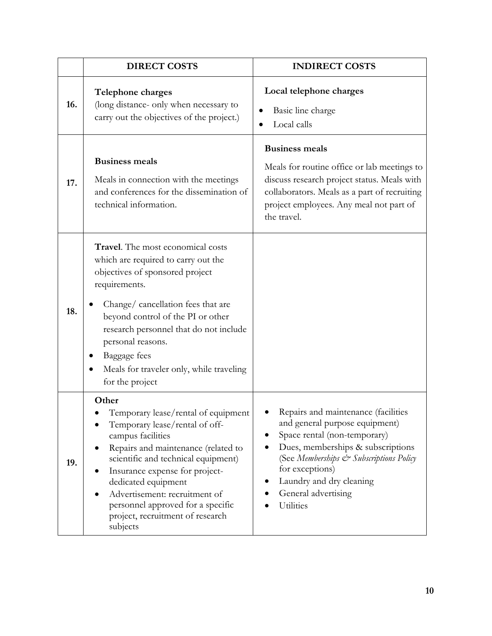|     | <b>DIRECT COSTS</b>                                                                                                                                                                                                                                                                                                                                              | <b>INDIRECT COSTS</b>                                                                                                                                                                                                                                                    |
|-----|------------------------------------------------------------------------------------------------------------------------------------------------------------------------------------------------------------------------------------------------------------------------------------------------------------------------------------------------------------------|--------------------------------------------------------------------------------------------------------------------------------------------------------------------------------------------------------------------------------------------------------------------------|
| 16. | Telephone charges<br>(long distance- only when necessary to<br>carry out the objectives of the project.)                                                                                                                                                                                                                                                         | Local telephone charges<br>Basic line charge<br>Local calls                                                                                                                                                                                                              |
| 17. | <b>Business meals</b><br>Meals in connection with the meetings<br>and conferences for the dissemination of<br>technical information.                                                                                                                                                                                                                             | <b>Business meals</b><br>Meals for routine office or lab meetings to<br>discuss research project status. Meals with<br>collaborators. Meals as a part of recruiting<br>project employees. Any meal not part of<br>the travel.                                            |
| 18. | Travel. The most economical costs<br>which are required to carry out the<br>objectives of sponsored project<br>requirements.<br>Change/ cancellation fees that are<br>beyond control of the PI or other<br>research personnel that do not include<br>personal reasons.<br>Baggage fees<br>Meals for traveler only, while traveling<br>for the project            |                                                                                                                                                                                                                                                                          |
| 19. | Other<br>Temporary lease/rental of equipment<br>Temporary lease/rental of off-<br>campus facilities<br>Repairs and maintenance (related to<br>scientific and technical equipment)<br>Insurance expense for project-<br>dedicated equipment<br>Advertisement: recruitment of<br>personnel approved for a specific<br>project, recruitment of research<br>subjects | Repairs and maintenance (facilities<br>and general purpose equipment)<br>Space rental (non-temporary)<br>Dues, memberships & subscriptions<br>(See Memberships & Subscriptions Policy<br>for exceptions)<br>Laundry and dry cleaning<br>General advertising<br>Utilities |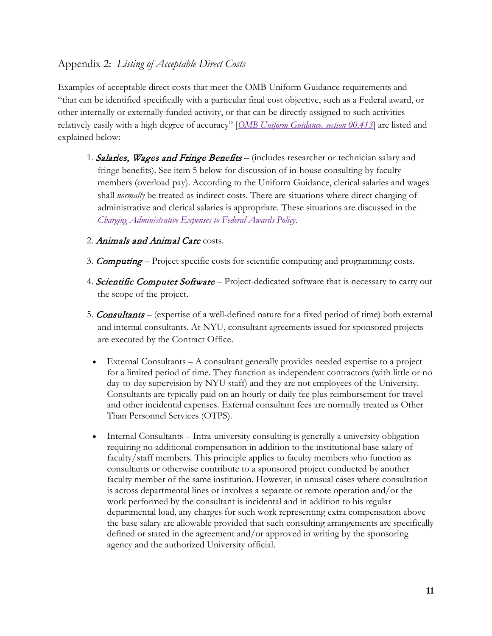### Appendix 2: *Listing of Acceptable Direct Costs*

Examples of acceptable direct costs that meet the OMB Uniform Guidance requirements and "that can be identified specifically with a particular final cost objective, such as a Federal award, or other internally or externally funded activity, or that can be directly assigned to such activities relatively easily with a high degree of accuracy" [*[OMB Uniform Guidance, section 00.413](https://www.ecfr.gov/cgi-bin/text-idx?SID=8c3f7c2636e23c71d72c1511dd336f5c&mc=true&node=se2.1.200_1413)*] are listed and explained below:

- 1. Salaries, Wages and Fringe Benefits (includes researcher or technician salary and fringe benefits). See item 5 below for discussion of in-house consulting by faculty members (overload pay). According to the Uniform Guidance, clerical salaries and wages shall *normally* be treated as indirect costs. There are situations where direct charging of administrative and clerical salaries is appropriate. These situations are discussed in the *[Charging Administrative Expenses to Federal Awards Policy](http://www.nyu.edu/about/policies-guidelines-compliance/policies-and-guidelines/charging-administrative-expenses-to-federal-awards-policy.html)*.
- 2. Animals and Animal Care costs.
- 3. **Computing** Project specific costs for scientific computing and programming costs.
- 4. Scientific Computer Software Project-dedicated software that is necessary to carry out the scope of the project.
- 5. Consultants (expertise of a well-defined nature for a fixed period of time) both external and internal consultants. At NYU, consultant agreements issued for sponsored projects are executed by the Contract Office.
	- External Consultants A consultant generally provides needed expertise to a project for a limited period of time. They function as independent contractors (with little or no day-to-day supervision by NYU staff) and they are not employees of the University. Consultants are typically paid on an hourly or daily fee plus reimbursement for travel and other incidental expenses. External consultant fees are normally treated as Other Than Personnel Services (OTPS).
	- Internal Consultants Intra-university consulting is generally a university obligation requiring no additional compensation in addition to the institutional base salary of faculty/staff members. This principle applies to faculty members who function as consultants or otherwise contribute to a sponsored project conducted by another faculty member of the same institution. However, in unusual cases where consultation is across departmental lines or involves a separate or remote operation and/or the work performed by the consultant is incidental and in addition to his regular departmental load, any charges for such work representing extra compensation above the base salary are allowable provided that such consulting arrangements are specifically defined or stated in the agreement and/or approved in writing by the sponsoring agency and the authorized University official.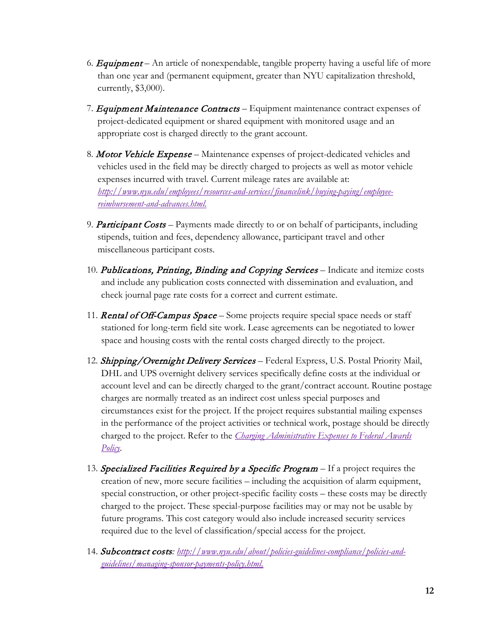- 6. **Equipment** An article of nonexpendable, tangible property having a useful life of more than one year and (permanent equipment, greater than NYU capitalization threshold, currently, \$3,000).
- 7. Equipment Maintenance Contracts Equipment maintenance contract expenses of project-dedicated equipment or shared equipment with monitored usage and an appropriate cost is charged directly to the grant account.
- 8. Motor Vehicle Expense Maintenance expenses of project-dedicated vehicles and vehicles used in the field may be directly charged to projects as well as motor vehicle expenses incurred with travel. Current mileage rates are available at: *[http://www.nyu.edu/employees/resources-and-services/financelink/buying-paying/employee](http://www.nyu.edu/employees/resources-and-services/financelink/buying-paying/employee-reimbursement-and-advances.html)[reimbursement-and-advances.html.](http://www.nyu.edu/employees/resources-and-services/financelink/buying-paying/employee-reimbursement-and-advances.html)*
- 9. Participant Costs Payments made directly to or on behalf of participants, including stipends, tuition and fees, dependency allowance, participant travel and other miscellaneous participant costs.
- 10. Publications, Printing, Binding and Copying Services Indicate and itemize costs and include any publication costs connected with dissemination and evaluation, and check journal page rate costs for a correct and current estimate.
- 11. **Rental of Off-Campus Space** Some projects require special space needs or staff stationed for long-term field site work. Lease agreements can be negotiated to lower space and housing costs with the rental costs charged directly to the project.
- 12. Shipping/Overnight Delivery Services Federal Express, U.S. Postal Priority Mail, DHL and UPS overnight delivery services specifically define costs at the individual or account level and can be directly charged to the grant/contract account. Routine postage charges are normally treated as an indirect cost unless special purposes and circumstances exist for the project. If the project requires substantial mailing expenses in the performance of the project activities or technical work, postage should be directly charged to the project. Refer to the *[Charging Administrative Expenses to Federal Awards](http://www.nyu.edu/about/policies-guidelines-compliance/policies-and-guidelines/charging-administrative-expenses-to-federal-awards-policy.html)  [Policy](http://www.nyu.edu/about/policies-guidelines-compliance/policies-and-guidelines/charging-administrative-expenses-to-federal-awards-policy.html)*.
- 13. Specialized Facilities Required by a Specific Program If a project requires the creation of new, more secure facilities – including the acquisition of alarm equipment, special construction, or other project-specific facility costs – these costs may be directly charged to the project. These special-purpose facilities may or may not be usable by future programs. This cost category would also include increased security services required due to the level of classification/special access for the project.
- 14. Subcontract costs*: [http://www.nyu.edu/about/policies-guidelines-compliance/policies-and](http://www.nyu.edu/about/policies-guidelines-compliance/policies-and-guidelines/managing-sponsor-payments-policy.html)[guidelines/managing-sponsor-payments-policy.html.](http://www.nyu.edu/about/policies-guidelines-compliance/policies-and-guidelines/managing-sponsor-payments-policy.html)*